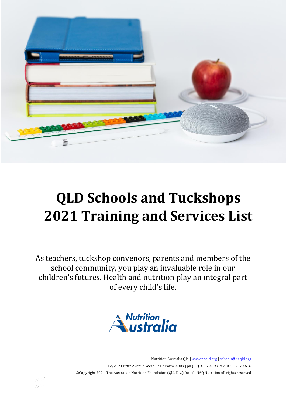

# **QLD Schools and Tuckshops 2021 Training and Services List**

As teachers, tuckshop convenors, parents and members of the school community, you play an invaluable role in our children's futures. Health and nutrition play an integral part of every child's life.



Nutrition Australia Qld [| www.naqld.org](http://www.naqld.org/) | [schools@naqld.org](mailto:schools@naqld.org) 12/212 Curtin Avenue West, Eagle Farm, 4009 | ph (07) 3257 4393 fax (07) 3257 4616 ©Copyright 2021. The Australian Nutrition Foundation (Qld. Div.) Inc t/a NAQ Nutrition All rights reserved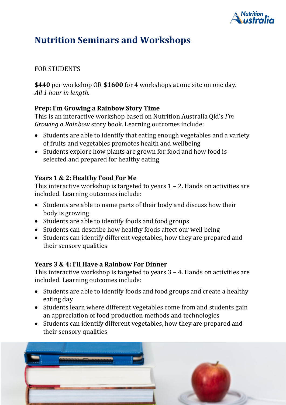

### **Nutrition Seminars and Workshops**

### FOR STUDENTS

**\$440** per workshop OR **\$1600** for 4 workshops at one site on one day. *All 1 hour in length.*

### **Prep: I'm Growing a Rainbow Story Time**

This is an interactive workshop based on Nutrition Australia Qld's *I'm Growing a Rainbow* story book. Learning outcomes include:

- Students are able to identify that eating enough vegetables and a variety of fruits and vegetables promotes health and wellbeing
- Students explore how plants are grown for food and how food is selected and prepared for healthy eating

### **Years 1 & 2: Healthy Food For Me**

This interactive workshop is targeted to years  $1 - 2$ . Hands on activities are included. Learning outcomes include:

- Students are able to name parts of their body and discuss how their body is growing
- Students are able to identify foods and food groups
- Students can describe how healthy foods affect our well being
- Students can identify different vegetables, how they are prepared and their sensory qualities

### **Years 3 & 4: I'll Have a Rainbow For Dinner**

This interactive workshop is targeted to years 3 – 4. Hands on activities are included. Learning outcomes include:

- Students are able to identify foods and food groups and create a healthy eating day
- Students learn where different vegetables come from and students gain an appreciation of food production methods and technologies
- Students can identify different vegetables, how they are prepared and their sensory qualities

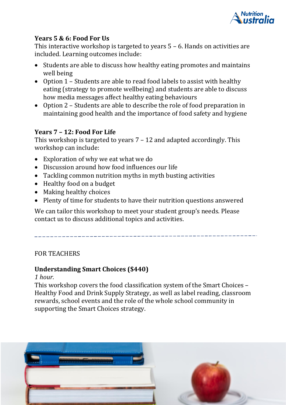

### **Years 5 & 6: Food For Us**

This interactive workshop is targeted to years 5 – 6. Hands on activities are included. Learning outcomes include:

- Students are able to discuss how healthy eating promotes and maintains well being
- Option 1 Students are able to read food labels to assist with healthy eating (strategy to promote wellbeing) and students are able to discuss how media messages affect healthy eating behaviours
- Option 2 Students are able to describe the role of food preparation in maintaining good health and the importance of food safety and hygiene

### **Years 7 – 12: Food For Life**

This workshop is targeted to years 7 – 12 and adapted accordingly. This workshop can include:

- Exploration of why we eat what we do
- Discussion around how food influences our life
- Tackling common nutrition myths in myth busting activities
- Healthy food on a budget
- Making healthy choices
- Plenty of time for students to have their nutrition questions answered

We can tailor this workshop to meet your student group's needs. Please contact us to discuss additional topics and activities.

### FOR TEACHERS

### **Understanding Smart Choices (\$440)**

#### *1 hour.*

This workshop covers the food classification system of the Smart Choices – Healthy Food and Drink Supply Strategy, as well as label reading, classroom rewards, school events and the role of the whole school community in supporting the Smart Choices strategy.

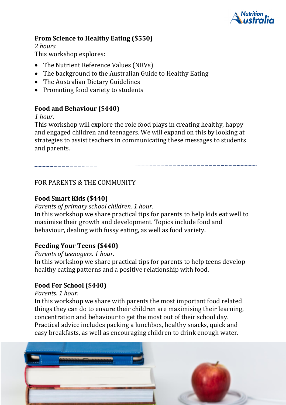

### **From Science to Healthy Eating (\$550)**

*2 hours.* This workshop explores:

- The Nutrient Reference Values (NRVs)
- The background to the Australian Guide to Healthy Eating
- The Australian Dietary Guidelines
- Promoting food variety to students

### **Food and Behaviour (\$440)**

### *1 hour.*

This workshop will explore the role food plays in creating healthy, happy and engaged children and teenagers. We will expand on this by looking at strategies to assist teachers in communicating these messages to students and parents.

FOR PARENTS & THE COMMUNITY

### **Food Smart Kids (\$440)**

### *Parents of primary school children. 1 hour.*

In this workshop we share practical tips for parents to help kids eat well to maximise their growth and development. Topics include food and behaviour, dealing with fussy eating, as well as food variety.

### **Feeding Your Teens (\$440)**

*Parents of teenagers. 1 hour.*

In this workshop we share practical tips for parents to help teens develop healthy eating patterns and a positive relationship with food.

### **Food For School (\$440)**

### *Parents. 1 hour.*

In this workshop we share with parents the most important food related things they can do to ensure their children are maximising their learning, concentration and behaviour to get the most out of their school day. Practical advice includes packing a lunchbox, healthy snacks, quick and easy breakfasts, as well as encouraging children to drink enough water.

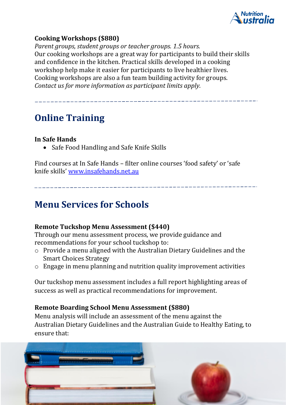

### **Cooking Workshops (\$880)**

*Parent groups, student groups or teacher groups. 1.5 hours.* Our cooking workshops are a great way for participants to build their skills and confidence in the kitchen. Practical skills developed in a cooking workshop help make it easier for participants to live healthier lives. Cooking workshops are also a fun team building activity for groups. *Contact us for more information as participant limits apply.*

### **Online Training**

### **In Safe Hands**

• Safe Food Handling and Safe Knife Skills

Find courses at In Safe Hands – filter online courses 'food safety' or 'safe knife skills' [www.insafehands.net.au](http://www.insafehands.net.au/)

### **Menu Services for Schools**

### **Remote Tuckshop Menu Assessment (\$440)**

Through our menu assessment process, we provide guidance and recommendations for your school tuckshop to:

- o Provide a menu aligned with the Australian Dietary Guidelines and the Smart Choices Strategy
- $\circ$  Engage in menu planning and nutrition quality improvement activities

Our tuckshop menu assessment includes a full report highlighting areas of success as well as practical recommendations for improvement.

### **Remote Boarding School Menu Assessment (\$880)**

Menu analysis will include an assessment of the menu against the Australian Dietary Guidelines and the Australian Guide to Healthy Eating, to ensure that:

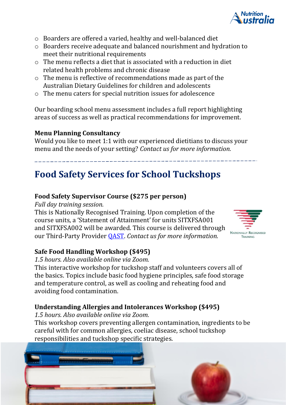

- o Boarders are offered a varied, healthy and well-balanced diet
- o Boarders receive adequate and balanced nourishment and hydration to meet their nutritional requirements
- $\circ$  The menu reflects a diet that is associated with a reduction in diet related health problems and chronic disease
- o The menu is reflective of recommendations made as part of the Australian Dietary Guidelines for children and adolescents
- o The menu caters for special nutrition issues for adolescence

Our boarding school menu assessment includes a full report highlighting areas of success as well as practical recommendations for improvement.

### **Menu Planning Consultancy**

Would you like to meet 1:1 with our experienced dietitians to discuss your menu and the needs of your setting? *Contact us for more information.*

## **Food Safety Services for School Tuckshops**

### **Food Safety Supervisor Course (\$275 per person)**

*Full day training session.*

This is Nationally Recognised Training. Upon completion of the course units, a 'Statement of Attainment' for units SITXFSA001 and SITXFSA002 will be awarded. This course is delivered through our Third-Party Provider [QAST.](mailto:https://qast.org.au/training-details/food-safety-supervisor-course/) *Contact us for more information.*

### **Safe Food Handling Workshop (\$495)**

*1.5 hours. Also available online via Zoom.* 

This interactive workshop for tuckshop staff and volunteers covers all of the basics. Topics include basic food hygiene principles, safe food storage and temperature control, as well as cooling and reheating food and avoiding food contamination.

### **Understanding Allergies and Intolerances Workshop (\$495)**

*1.5 hours. Also available online via Zoom.*

This workshop covers preventing allergen contamination, ingredients to be careful with for common allergies, coeliac disease, school tuckshop responsibilities and tuckshop specific strategies.



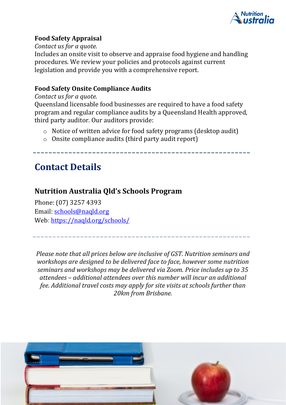

### **Food Safety Appraisal**

*Contact us for a quote.*

Includes an onsite visit to observe and appraise food hygiene and handling procedures. We review your policies and protocols against current legislation and provide you with a comprehensive report.

### **Food Safety Onsite Compliance Audits**

#### *Contact us for a quote.*

Queensland licensable food businesses are required to have a food safety program and regular compliance audits by a Queensland Health approved, third party auditor. Our auditors provide:

- o Notice of written advice for food safety programs (desktop audit)
- o Onsite compliance audits (third party audit report)

### **Contact Details**

### **Nutrition Australia Qld's Schools Program**

Phone: (07) 3257 4393 Email: [schools@naqld.org](mailto:schools@naqld.org) Web: <https://naqld.org/schools/>

*Please note that all prices below are inclusive of GST. Nutrition seminars and workshops are designed to be delivered face to face, however some nutrition seminars and workshops may be delivered via Zoom. Price includes up to 35 attendees – additional attendees over this number will incur an additional fee. Additional travel costs may apply for site visits at schools further than 20km from Brisbane.*